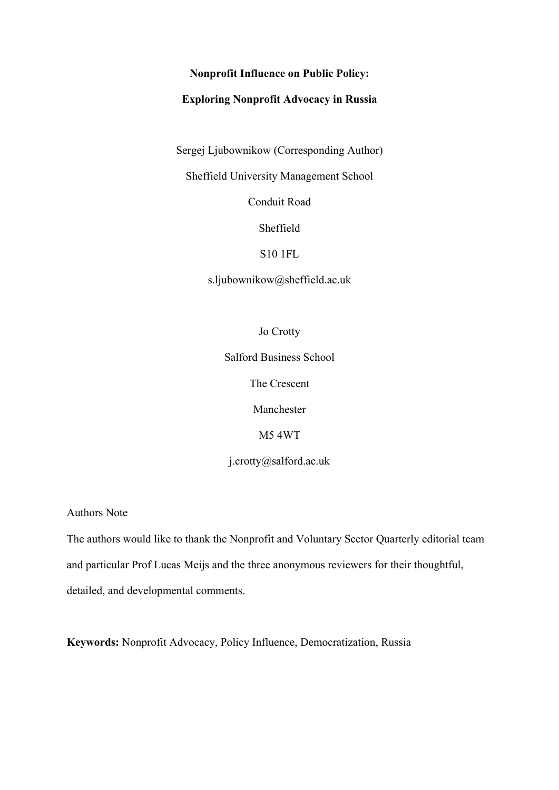### **Nonprofit Influence on Public Policy:**

## **Exploring Nonprofit Advocacy in Russia**

Sergej Ljubownikow (Corresponding Author)

Sheffield University Management School

Conduit Road

Sheffield

### S10 1FL

s.ljubownikow@sheffield.ac.uk

Jo Crotty

Salford Business School

The Crescent

Manchester

M5 4WT

j.crotty@salford.ac.uk

Authors Note

The authors would like to thank the Nonprofit and Voluntary Sector Quarterly editorial team and particular Prof Lucas Meijs and the three anonymous reviewers for their thoughtful, detailed, and developmental comments.

**Keywords:** Nonprofit Advocacy, Policy Influence, Democratization, Russia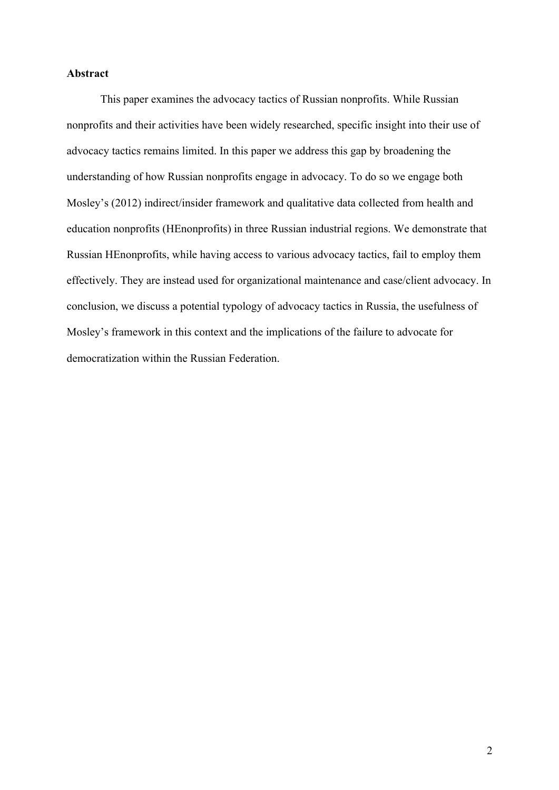#### **Abstract**

This paper examines the advocacy tactics of Russian nonprofits. While Russian nonprofits and their activities have been widely researched, specific insight into their use of advocacy tactics remains limited. In this paper we address this gap by broadening the understanding of how Russian nonprofits engage in advocacy. To do so we engage both Mosley's (2012) indirect/insider framework and qualitative data collected from health and education nonprofits (HEnonprofits) in three Russian industrial regions. We demonstrate that Russian HEnonprofits, while having access to various advocacy tactics, fail to employ them effectively. They are instead used for organizational maintenance and case/client advocacy. In conclusion, we discuss a potential typology of advocacy tactics in Russia, the usefulness of Mosley's framework in this context and the implications of the failure to advocate for democratization within the Russian Federation.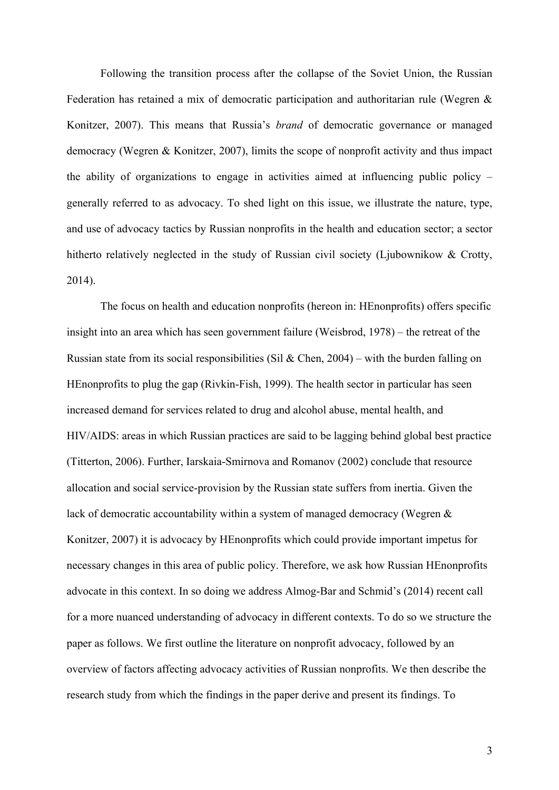Following the transition process after the collapse of the Soviet Union, the Russian Federation has retained a mix of democratic participation and authoritarian rule (Wegren & Konitzer, 2007). This means that Russia's *brand* of democratic governance or managed democracy (Wegren & Konitzer, 2007), limits the scope of nonprofit activity and thus impact the ability of organizations to engage in activities aimed at influencing public policy – generally referred to as advocacy. To shed light on this issue, we illustrate the nature, type, and use of advocacy tactics by Russian nonprofits in the health and education sector; a sector hitherto relatively neglected in the study of Russian civil society (Ljubownikow & Crotty, 2014).

The focus on health and education nonprofits (hereon in: HEnonprofits) offers specific insight into an area which has seen government failure (Weisbrod, 1978) – the retreat of the Russian state from its social responsibilities (Sil & Chen, 2004) – with the burden falling on HEnonprofits to plug the gap (Rivkin-Fish, 1999). The health sector in particular has seen increased demand for services related to drug and alcohol abuse, mental health, and HIV/AIDS: areas in which Russian practices are said to be lagging behind global best practice (Titterton, 2006). Further, Iarskaia-Smirnova and Romanov (2002) conclude that resource allocation and social service-provision by the Russian state suffers from inertia. Given the lack of democratic accountability within a system of managed democracy (Wegren & Konitzer, 2007) it is advocacy by HEnonprofits which could provide important impetus for necessary changes in this area of public policy. Therefore, we ask how Russian HEnonprofits advocate in this context. In so doing we address Almog-Bar and Schmid's (2014) recent call for a more nuanced understanding of advocacy in different contexts. To do so we structure the paper as follows. We first outline the literature on nonprofit advocacy, followed by an overview of factors affecting advocacy activities of Russian nonprofits. We then describe the research study from which the findings in the paper derive and present its findings. To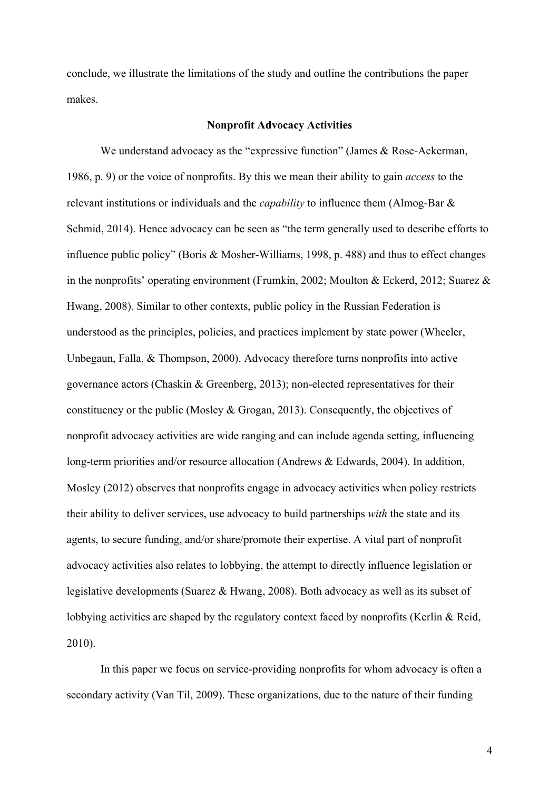conclude, we illustrate the limitations of the study and outline the contributions the paper makes.

#### **Nonprofit Advocacy Activities**

We understand advocacy as the "expressive function" (James & Rose-Ackerman, 1986, p. 9) or the voice of nonprofits. By this we mean their ability to gain *access* to the relevant institutions or individuals and the *capability* to influence them (Almog-Bar & Schmid, 2014). Hence advocacy can be seen as "the term generally used to describe efforts to influence public policy" (Boris & Mosher-Williams, 1998, p. 488) and thus to effect changes in the nonprofits' operating environment (Frumkin, 2002; Moulton & Eckerd, 2012; Suarez & Hwang, 2008). Similar to other contexts, public policy in the Russian Federation is understood as the principles, policies, and practices implement by state power (Wheeler, Unbegaun, Falla, & Thompson, 2000). Advocacy therefore turns nonprofits into active governance actors (Chaskin & Greenberg, 2013); non-elected representatives for their constituency or the public (Mosley & Grogan, 2013). Consequently, the objectives of nonprofit advocacy activities are wide ranging and can include agenda setting, influencing long-term priorities and/or resource allocation (Andrews & Edwards, 2004). In addition, Mosley (2012) observes that nonprofits engage in advocacy activities when policy restricts their ability to deliver services, use advocacy to build partnerships *with* the state and its agents, to secure funding, and/or share/promote their expertise. A vital part of nonprofit advocacy activities also relates to lobbying, the attempt to directly influence legislation or legislative developments (Suarez & Hwang, 2008). Both advocacy as well as its subset of lobbying activities are shaped by the regulatory context faced by nonprofits (Kerlin & Reid, 2010).

In this paper we focus on service-providing nonprofits for whom advocacy is often a secondary activity (Van Til, 2009). These organizations, due to the nature of their funding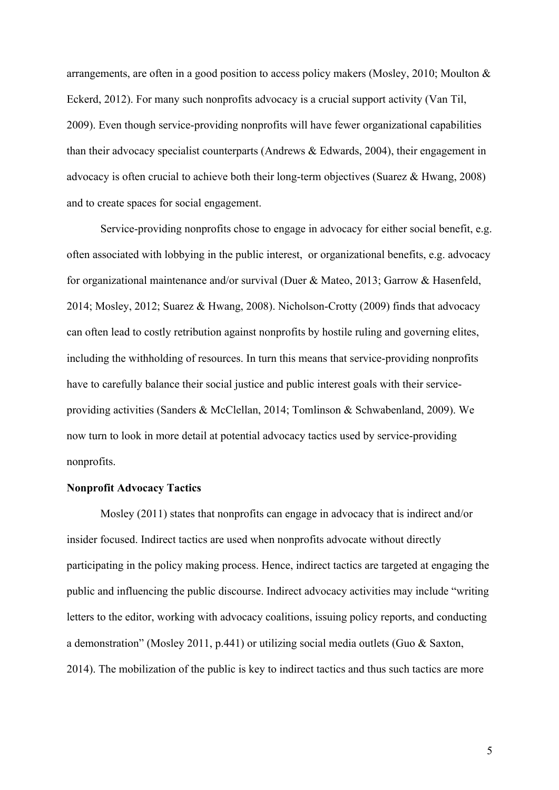arrangements, are often in a good position to access policy makers (Mosley, 2010; Moulton & Eckerd, 2012). For many such nonprofits advocacy is a crucial support activity (Van Til, 2009). Even though service-providing nonprofits will have fewer organizational capabilities than their advocacy specialist counterparts (Andrews & Edwards, 2004), their engagement in advocacy is often crucial to achieve both their long-term objectives (Suarez & Hwang, 2008) and to create spaces for social engagement.

Service-providing nonprofits chose to engage in advocacy for either social benefit, e.g. often associated with lobbying in the public interest, or organizational benefits, e.g. advocacy for organizational maintenance and/or survival (Duer & Mateo, 2013; Garrow & Hasenfeld, 2014; Mosley, 2012; Suarez & Hwang, 2008). Nicholson-Crotty (2009) finds that advocacy can often lead to costly retribution against nonprofits by hostile ruling and governing elites, including the withholding of resources. In turn this means that service-providing nonprofits have to carefully balance their social justice and public interest goals with their serviceproviding activities (Sanders & McClellan, 2014; Tomlinson & Schwabenland, 2009). We now turn to look in more detail at potential advocacy tactics used by service-providing nonprofits.

## **Nonprofit Advocacy Tactics**

Mosley (2011) states that nonprofits can engage in advocacy that is indirect and/or insider focused. Indirect tactics are used when nonprofits advocate without directly participating in the policy making process. Hence, indirect tactics are targeted at engaging the public and influencing the public discourse. Indirect advocacy activities may include "writing letters to the editor, working with advocacy coalitions, issuing policy reports, and conducting a demonstration" (Mosley 2011, p.441) or utilizing social media outlets (Guo & Saxton, 2014). The mobilization of the public is key to indirect tactics and thus such tactics are more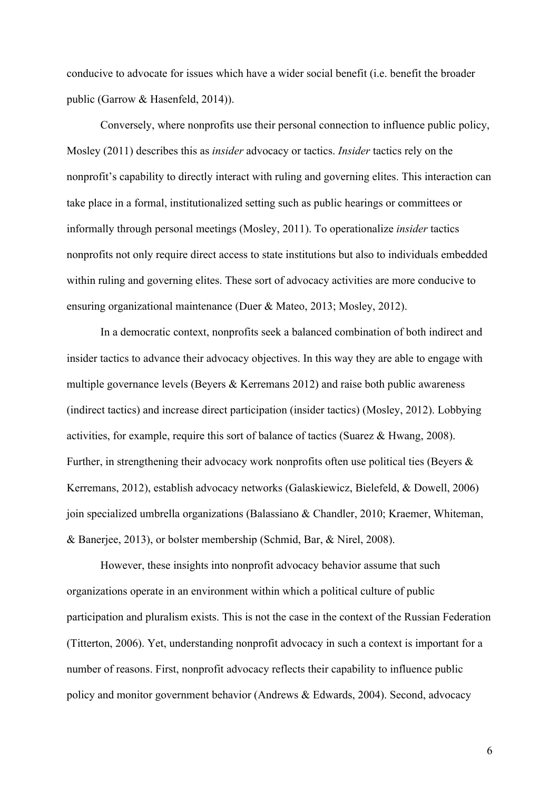conducive to advocate for issues which have a wider social benefit (i.e. benefit the broader public (Garrow & Hasenfeld, 2014)).

Conversely, where nonprofits use their personal connection to influence public policy, Mosley (2011) describes this as *insider* advocacy or tactics. *Insider* tactics rely on the nonprofit's capability to directly interact with ruling and governing elites. This interaction can take place in a formal, institutionalized setting such as public hearings or committees or informally through personal meetings (Mosley, 2011). To operationalize *insider* tactics nonprofits not only require direct access to state institutions but also to individuals embedded within ruling and governing elites. These sort of advocacy activities are more conducive to ensuring organizational maintenance (Duer & Mateo, 2013; Mosley, 2012).

In a democratic context, nonprofits seek a balanced combination of both indirect and insider tactics to advance their advocacy objectives. In this way they are able to engage with multiple governance levels (Beyers & Kerremans 2012) and raise both public awareness (indirect tactics) and increase direct participation (insider tactics) (Mosley, 2012). Lobbying activities, for example, require this sort of balance of tactics (Suarez & Hwang, 2008). Further, in strengthening their advocacy work nonprofits often use political ties (Beyers  $\&$ Kerremans, 2012), establish advocacy networks (Galaskiewicz, Bielefeld, & Dowell, 2006) join specialized umbrella organizations (Balassiano & Chandler, 2010; Kraemer, Whiteman, & Banerjee, 2013), or bolster membership (Schmid, Bar, & Nirel, 2008).

However, these insights into nonprofit advocacy behavior assume that such organizations operate in an environment within which a political culture of public participation and pluralism exists. This is not the case in the context of the Russian Federation (Titterton, 2006). Yet, understanding nonprofit advocacy in such a context is important for a number of reasons. First, nonprofit advocacy reflects their capability to influence public policy and monitor government behavior (Andrews & Edwards, 2004). Second, advocacy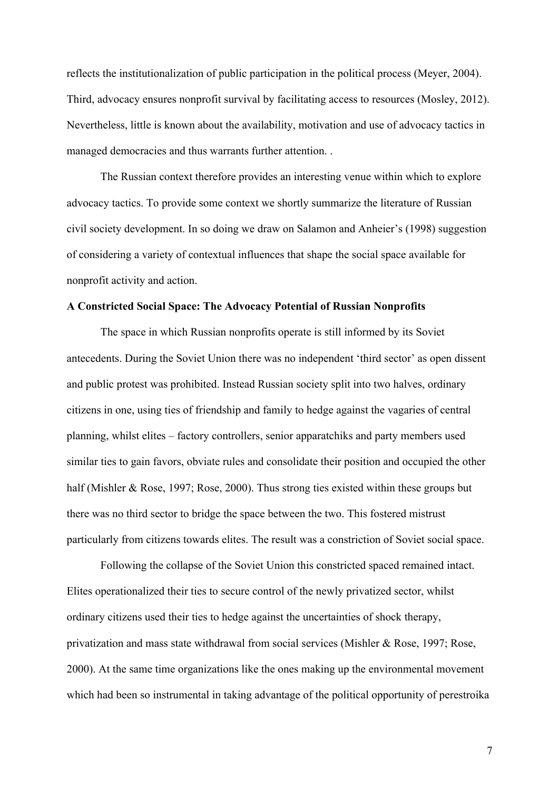reflects the institutionalization of public participation in the political process (Meyer, 2004). Third, advocacy ensures nonprofit survival by facilitating access to resources (Mosley, 2012). Nevertheless, little is known about the availability, motivation and use of advocacy tactics in managed democracies and thus warrants further attention. .

The Russian context therefore provides an interesting venue within which to explore advocacy tactics. To provide some context we shortly summarize the literature of Russian civil society development. In so doing we draw on Salamon and Anheier's (1998) suggestion of considering a variety of contextual influences that shape the social space available for nonprofit activity and action.

#### **A Constricted Social Space: The Advocacy Potential of Russian Nonprofits**

The space in which Russian nonprofits operate is still informed by its Soviet antecedents. During the Soviet Union there was no independent 'third sector' as open dissent and public protest was prohibited. Instead Russian society split into two halves, ordinary citizens in one, using ties of friendship and family to hedge against the vagaries of central planning, whilst elites – factory controllers, senior apparatchiks and party members used similar ties to gain favors, obviate rules and consolidate their position and occupied the other half (Mishler & Rose, 1997; Rose, 2000). Thus strong ties existed within these groups but there was no third sector to bridge the space between the two. This fostered mistrust particularly from citizens towards elites. The result was a constriction of Soviet social space.

Following the collapse of the Soviet Union this constricted spaced remained intact. Elites operationalized their ties to secure control of the newly privatized sector, whilst ordinary citizens used their ties to hedge against the uncertainties of shock therapy, privatization and mass state withdrawal from social services (Mishler & Rose, 1997; Rose, 2000). At the same time organizations like the ones making up the environmental movement which had been so instrumental in taking advantage of the political opportunity of perestroika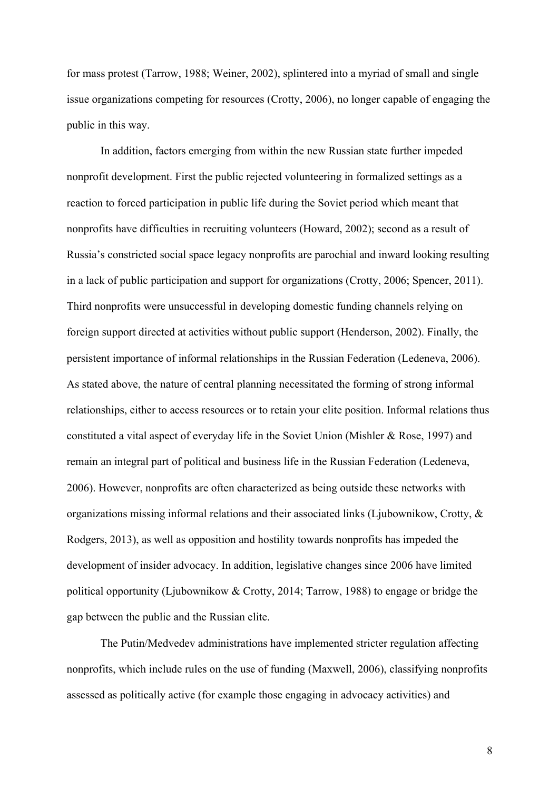for mass protest (Tarrow, 1988; Weiner, 2002), splintered into a myriad of small and single issue organizations competing for resources (Crotty, 2006), no longer capable of engaging the public in this way.

In addition, factors emerging from within the new Russian state further impeded nonprofit development. First the public rejected volunteering in formalized settings as a reaction to forced participation in public life during the Soviet period which meant that nonprofits have difficulties in recruiting volunteers (Howard, 2002); second as a result of Russia's constricted social space legacy nonprofits are parochial and inward looking resulting in a lack of public participation and support for organizations (Crotty, 2006; Spencer, 2011). Third nonprofits were unsuccessful in developing domestic funding channels relying on foreign support directed at activities without public support (Henderson, 2002). Finally, the persistent importance of informal relationships in the Russian Federation (Ledeneva, 2006). As stated above, the nature of central planning necessitated the forming of strong informal relationships, either to access resources or to retain your elite position. Informal relations thus constituted a vital aspect of everyday life in the Soviet Union (Mishler & Rose, 1997) and remain an integral part of political and business life in the Russian Federation (Ledeneva, 2006). However, nonprofits are often characterized as being outside these networks with organizations missing informal relations and their associated links (Ljubownikow, Crotty, & Rodgers, 2013), as well as opposition and hostility towards nonprofits has impeded the development of insider advocacy. In addition, legislative changes since 2006 have limited political opportunity (Ljubownikow & Crotty, 2014; Tarrow, 1988) to engage or bridge the gap between the public and the Russian elite.

The Putin/Medvedev administrations have implemented stricter regulation affecting nonprofits, which include rules on the use of funding (Maxwell, 2006), classifying nonprofits assessed as politically active (for example those engaging in advocacy activities) and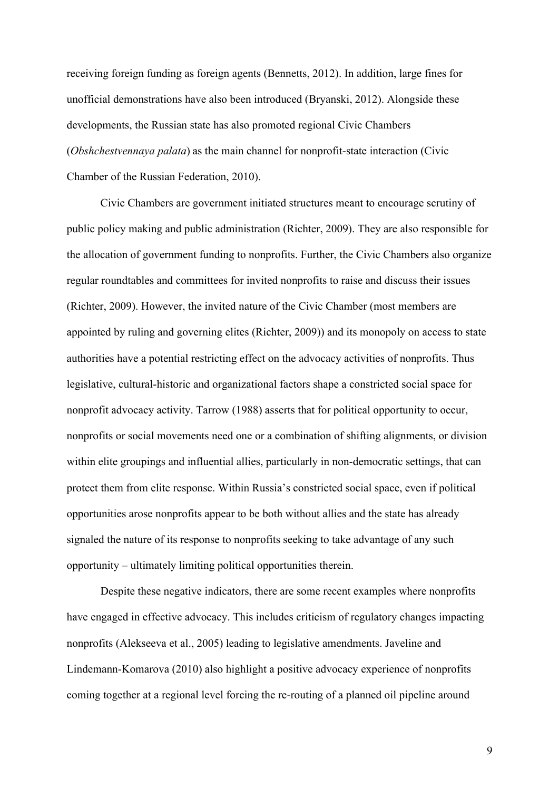receiving foreign funding as foreign agents (Bennetts, 2012). In addition, large fines for unofficial demonstrations have also been introduced (Bryanski, 2012). Alongside these developments, the Russian state has also promoted regional Civic Chambers (*Obshchestvennaya palata*) as the main channel for nonprofit-state interaction (Civic Chamber of the Russian Federation, 2010).

Civic Chambers are government initiated structures meant to encourage scrutiny of public policy making and public administration (Richter, 2009). They are also responsible for the allocation of government funding to nonprofits. Further, the Civic Chambers also organize regular roundtables and committees for invited nonprofits to raise and discuss their issues (Richter, 2009). However, the invited nature of the Civic Chamber (most members are appointed by ruling and governing elites (Richter, 2009)) and its monopoly on access to state authorities have a potential restricting effect on the advocacy activities of nonprofits. Thus legislative, cultural-historic and organizational factors shape a constricted social space for nonprofit advocacy activity. Tarrow (1988) asserts that for political opportunity to occur, nonprofits or social movements need one or a combination of shifting alignments, or division within elite groupings and influential allies, particularly in non-democratic settings, that can protect them from elite response. Within Russia's constricted social space, even if political opportunities arose nonprofits appear to be both without allies and the state has already signaled the nature of its response to nonprofits seeking to take advantage of any such opportunity – ultimately limiting political opportunities therein.

Despite these negative indicators, there are some recent examples where nonprofits have engaged in effective advocacy. This includes criticism of regulatory changes impacting nonprofits (Alekseeva et al., 2005) leading to legislative amendments. Javeline and Lindemann-Komarova (2010) also highlight a positive advocacy experience of nonprofits coming together at a regional level forcing the re-routing of a planned oil pipeline around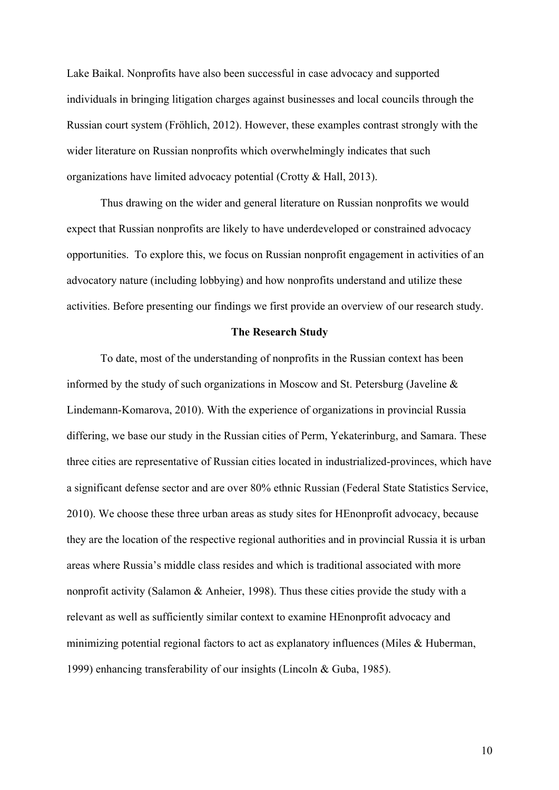Lake Baikal. Nonprofits have also been successful in case advocacy and supported individuals in bringing litigation charges against businesses and local councils through the Russian court system (Fröhlich, 2012). However, these examples contrast strongly with the wider literature on Russian nonprofits which overwhelmingly indicates that such organizations have limited advocacy potential (Crotty & Hall, 2013).

Thus drawing on the wider and general literature on Russian nonprofits we would expect that Russian nonprofits are likely to have underdeveloped or constrained advocacy opportunities. To explore this, we focus on Russian nonprofit engagement in activities of an advocatory nature (including lobbying) and how nonprofits understand and utilize these activities. Before presenting our findings we first provide an overview of our research study.

#### **The Research Study**

To date, most of the understanding of nonprofits in the Russian context has been informed by the study of such organizations in Moscow and St. Petersburg (Javeline & Lindemann-Komarova, 2010). With the experience of organizations in provincial Russia differing, we base our study in the Russian cities of Perm, Yekaterinburg, and Samara. These three cities are representative of Russian cities located in industrialized-provinces, which have a significant defense sector and are over 80% ethnic Russian (Federal State Statistics Service, 2010). We choose these three urban areas as study sites for HEnonprofit advocacy, because they are the location of the respective regional authorities and in provincial Russia it is urban areas where Russia's middle class resides and which is traditional associated with more nonprofit activity (Salamon & Anheier, 1998). Thus these cities provide the study with a relevant as well as sufficiently similar context to examine HEnonprofit advocacy and minimizing potential regional factors to act as explanatory influences (Miles & Huberman, 1999) enhancing transferability of our insights (Lincoln & Guba, 1985).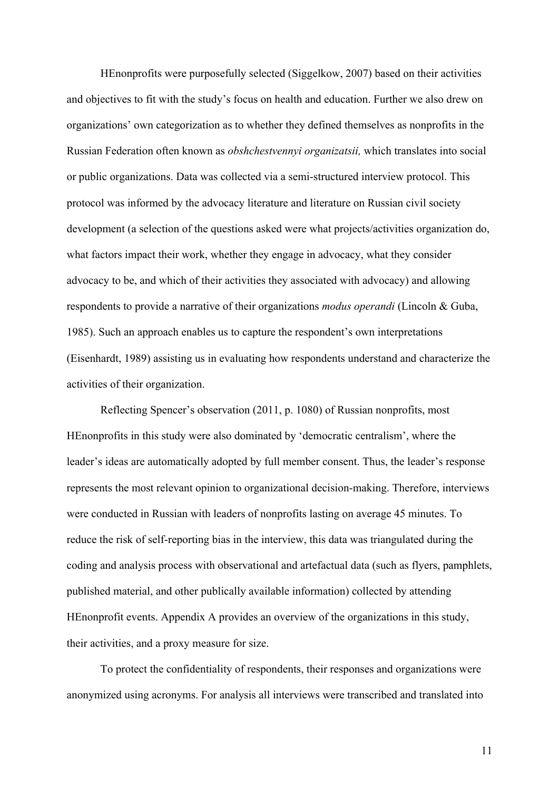HEnonprofits were purposefully selected (Siggelkow, 2007) based on their activities and objectives to fit with the study's focus on health and education. Further we also drew on organizations' own categorization as to whether they defined themselves as nonprofits in the Russian Federation often known as *obshchestvennyi organizatsii,* which translates into social or public organizations. Data was collected via a semi-structured interview protocol. This protocol was informed by the advocacy literature and literature on Russian civil society development (a selection of the questions asked were what projects/activities organization do, what factors impact their work, whether they engage in advocacy, what they consider advocacy to be, and which of their activities they associated with advocacy) and allowing respondents to provide a narrative of their organizations *modus operandi* (Lincoln & Guba, 1985). Such an approach enables us to capture the respondent's own interpretations (Eisenhardt, 1989) assisting us in evaluating how respondents understand and characterize the activities of their organization.

Reflecting Spencer's observation (2011, p. 1080) of Russian nonprofits, most HEnonprofits in this study were also dominated by 'democratic centralism', where the leader's ideas are automatically adopted by full member consent. Thus, the leader's response represents the most relevant opinion to organizational decision-making. Therefore, interviews were conducted in Russian with leaders of nonprofits lasting on average 45 minutes. To reduce the risk of self-reporting bias in the interview, this data was triangulated during the coding and analysis process with observational and artefactual data (such as flyers, pamphlets, published material, and other publically available information) collected by attending HEnonprofit events. Appendix A provides an overview of the organizations in this study, their activities, and a proxy measure for size.

To protect the confidentiality of respondents, their responses and organizations were anonymized using acronyms. For analysis all interviews were transcribed and translated into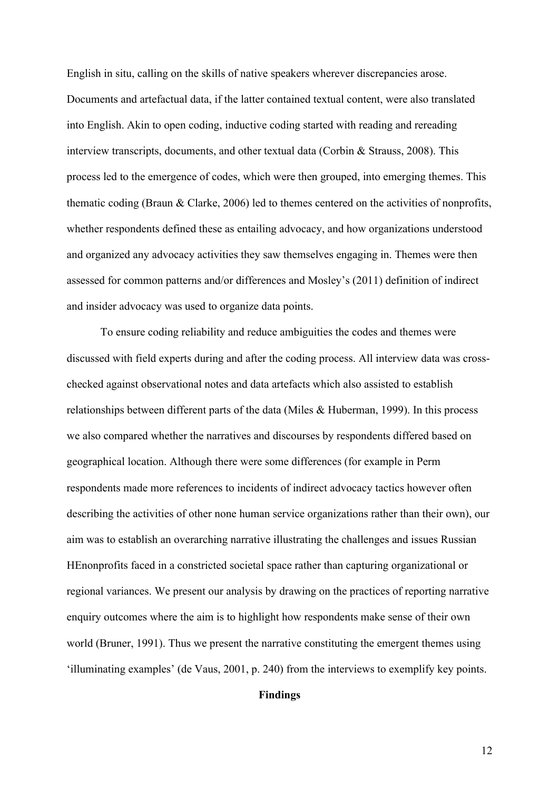English in situ, calling on the skills of native speakers wherever discrepancies arose. Documents and artefactual data, if the latter contained textual content, were also translated into English. Akin to open coding, inductive coding started with reading and rereading interview transcripts, documents, and other textual data (Corbin & Strauss, 2008). This process led to the emergence of codes, which were then grouped, into emerging themes. This thematic coding (Braun & Clarke, 2006) led to themes centered on the activities of nonprofits, whether respondents defined these as entailing advocacy, and how organizations understood and organized any advocacy activities they saw themselves engaging in. Themes were then assessed for common patterns and/or differences and Mosley's (2011) definition of indirect and insider advocacy was used to organize data points.

To ensure coding reliability and reduce ambiguities the codes and themes were discussed with field experts during and after the coding process. All interview data was crosschecked against observational notes and data artefacts which also assisted to establish relationships between different parts of the data (Miles & Huberman, 1999). In this process we also compared whether the narratives and discourses by respondents differed based on geographical location. Although there were some differences (for example in Perm respondents made more references to incidents of indirect advocacy tactics however often describing the activities of other none human service organizations rather than their own), our aim was to establish an overarching narrative illustrating the challenges and issues Russian HEnonprofits faced in a constricted societal space rather than capturing organizational or regional variances. We present our analysis by drawing on the practices of reporting narrative enquiry outcomes where the aim is to highlight how respondents make sense of their own world (Bruner, 1991). Thus we present the narrative constituting the emergent themes using 'illuminating examples' (de Vaus, 2001, p. 240) from the interviews to exemplify key points.

## **Findings**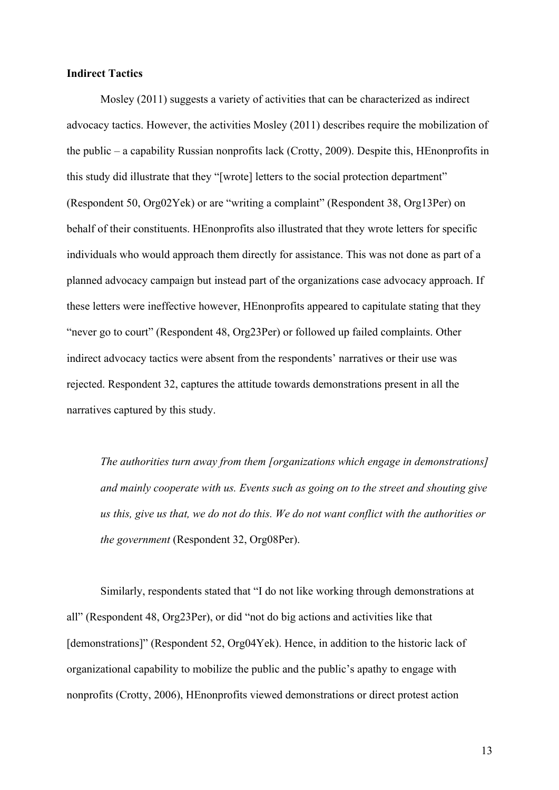#### **Indirect Tactics**

Mosley (2011) suggests a variety of activities that can be characterized as indirect advocacy tactics. However, the activities Mosley (2011) describes require the mobilization of the public – a capability Russian nonprofits lack (Crotty, 2009). Despite this, HEnonprofits in this study did illustrate that they "[wrote] letters to the social protection department" (Respondent 50, Org02Yek) or are "writing a complaint" (Respondent 38, Org13Per) on behalf of their constituents. HEnonprofits also illustrated that they wrote letters for specific individuals who would approach them directly for assistance. This was not done as part of a planned advocacy campaign but instead part of the organizations case advocacy approach. If these letters were ineffective however, HEnonprofits appeared to capitulate stating that they "never go to court" (Respondent 48, Org23Per) or followed up failed complaints. Other indirect advocacy tactics were absent from the respondents' narratives or their use was rejected. Respondent 32, captures the attitude towards demonstrations present in all the narratives captured by this study.

*The authorities turn away from them [organizations which engage in demonstrations] and mainly cooperate with us. Events such as going on to the street and shouting give us this, give us that, we do not do this. We do not want conflict with the authorities or the government* (Respondent 32, Org08Per).

Similarly, respondents stated that "I do not like working through demonstrations at all" (Respondent 48, Org23Per), or did "not do big actions and activities like that [demonstrations]" (Respondent 52, Org04Yek). Hence, in addition to the historic lack of organizational capability to mobilize the public and the public's apathy to engage with nonprofits (Crotty, 2006), HEnonprofits viewed demonstrations or direct protest action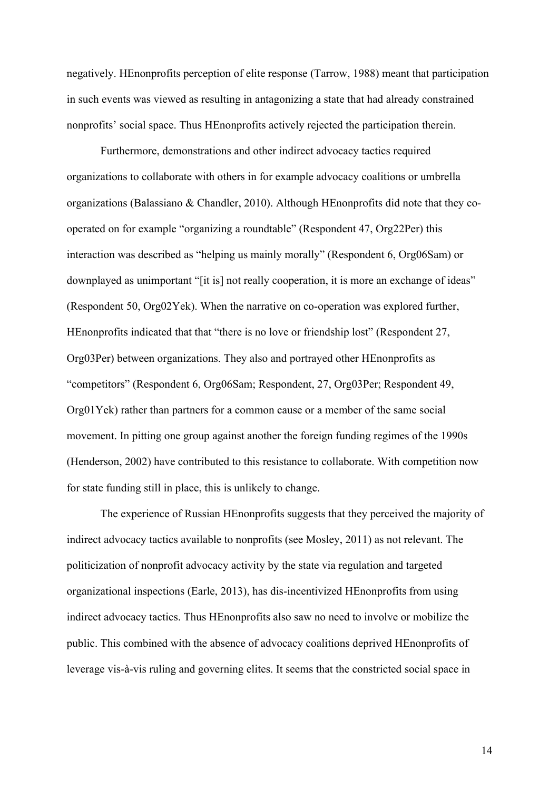negatively. HEnonprofits perception of elite response (Tarrow, 1988) meant that participation in such events was viewed as resulting in antagonizing a state that had already constrained nonprofits' social space. Thus HEnonprofits actively rejected the participation therein.

Furthermore, demonstrations and other indirect advocacy tactics required organizations to collaborate with others in for example advocacy coalitions or umbrella organizations (Balassiano & Chandler, 2010). Although HEnonprofits did note that they cooperated on for example "organizing a roundtable" (Respondent 47, Org22Per) this interaction was described as "helping us mainly morally" (Respondent 6, Org06Sam) or downplayed as unimportant "[it is] not really cooperation, it is more an exchange of ideas" (Respondent 50, Org02Yek). When the narrative on co-operation was explored further, HEnonprofits indicated that that "there is no love or friendship lost" (Respondent 27, Org03Per) between organizations. They also and portrayed other HEnonprofits as "competitors" (Respondent 6, Org06Sam; Respondent, 27, Org03Per; Respondent 49, Org01Yek) rather than partners for a common cause or a member of the same social movement. In pitting one group against another the foreign funding regimes of the 1990s (Henderson, 2002) have contributed to this resistance to collaborate. With competition now for state funding still in place, this is unlikely to change.

The experience of Russian HEnonprofits suggests that they perceived the majority of indirect advocacy tactics available to nonprofits (see Mosley, 2011) as not relevant. The politicization of nonprofit advocacy activity by the state via regulation and targeted organizational inspections (Earle, 2013), has dis-incentivized HEnonprofits from using indirect advocacy tactics. Thus HEnonprofits also saw no need to involve or mobilize the public. This combined with the absence of advocacy coalitions deprived HEnonprofits of leverage vis-à-vis ruling and governing elites. It seems that the constricted social space in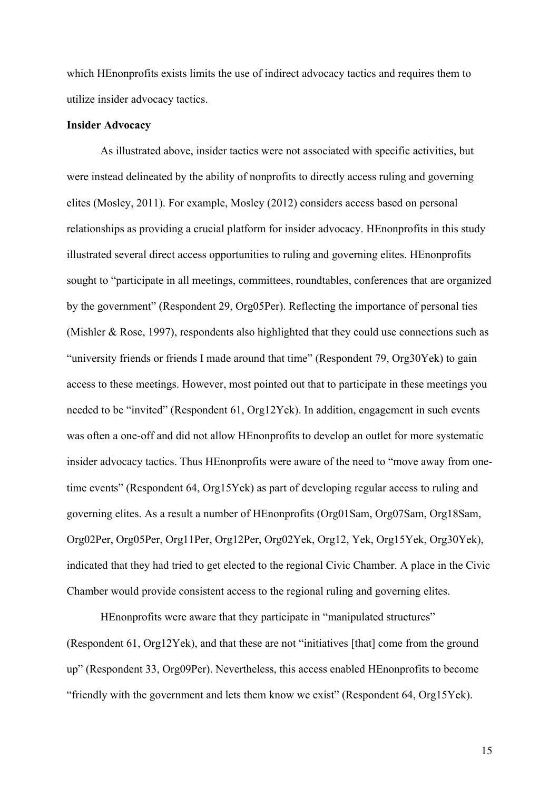which HEnonprofits exists limits the use of indirect advocacy tactics and requires them to utilize insider advocacy tactics.

#### **Insider Advocacy**

As illustrated above, insider tactics were not associated with specific activities, but were instead delineated by the ability of nonprofits to directly access ruling and governing elites (Mosley, 2011). For example, Mosley (2012) considers access based on personal relationships as providing a crucial platform for insider advocacy. HEnonprofits in this study illustrated several direct access opportunities to ruling and governing elites. HEnonprofits sought to "participate in all meetings, committees, roundtables, conferences that are organized by the government" (Respondent 29, Org05Per). Reflecting the importance of personal ties (Mishler & Rose, 1997), respondents also highlighted that they could use connections such as "university friends or friends I made around that time" (Respondent 79, Org30Yek) to gain access to these meetings. However, most pointed out that to participate in these meetings you needed to be "invited" (Respondent 61, Org12Yek). In addition, engagement in such events was often a one-off and did not allow HEnonprofits to develop an outlet for more systematic insider advocacy tactics. Thus HEnonprofits were aware of the need to "move away from onetime events" (Respondent 64, Org15Yek) as part of developing regular access to ruling and governing elites. As a result a number of HEnonprofits (Org01Sam, Org07Sam, Org18Sam, Org02Per, Org05Per, Org11Per, Org12Per, Org02Yek, Org12, Yek, Org15Yek, Org30Yek), indicated that they had tried to get elected to the regional Civic Chamber. A place in the Civic Chamber would provide consistent access to the regional ruling and governing elites.

HEnonprofits were aware that they participate in "manipulated structures" (Respondent 61, Org12Yek), and that these are not "initiatives [that] come from the ground up" (Respondent 33, Org09Per). Nevertheless, this access enabled HEnonprofits to become "friendly with the government and lets them know we exist" (Respondent 64, Org15Yek).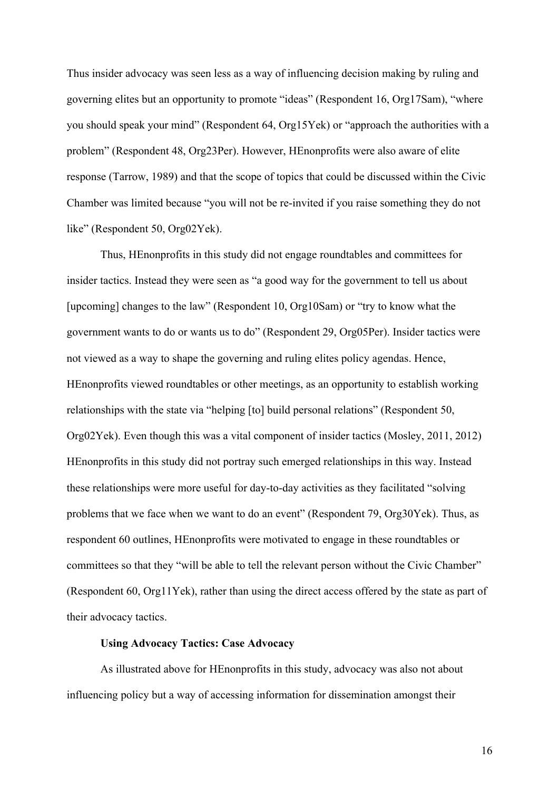Thus insider advocacy was seen less as a way of influencing decision making by ruling and governing elites but an opportunity to promote "ideas" (Respondent 16, Org17Sam), "where you should speak your mind" (Respondent 64, Org15Yek) or "approach the authorities with a problem" (Respondent 48, Org23Per). However, HEnonprofits were also aware of elite response (Tarrow, 1989) and that the scope of topics that could be discussed within the Civic Chamber was limited because "you will not be re-invited if you raise something they do not like" (Respondent 50, Org02Yek).

Thus, HEnonprofits in this study did not engage roundtables and committees for insider tactics. Instead they were seen as "a good way for the government to tell us about [upcoming] changes to the law" (Respondent 10, Org10Sam) or "try to know what the government wants to do or wants us to do" (Respondent 29, Org05Per). Insider tactics were not viewed as a way to shape the governing and ruling elites policy agendas. Hence, HEnonprofits viewed roundtables or other meetings, as an opportunity to establish working relationships with the state via "helping [to] build personal relations" (Respondent 50, Org02Yek). Even though this was a vital component of insider tactics (Mosley, 2011, 2012) HEnonprofits in this study did not portray such emerged relationships in this way. Instead these relationships were more useful for day-to-day activities as they facilitated "solving problems that we face when we want to do an event" (Respondent 79, Org30Yek). Thus, as respondent 60 outlines, HEnonprofits were motivated to engage in these roundtables or committees so that they "will be able to tell the relevant person without the Civic Chamber" (Respondent 60, Org11Yek), rather than using the direct access offered by the state as part of their advocacy tactics.

## **Using Advocacy Tactics: Case Advocacy**

As illustrated above for HEnonprofits in this study, advocacy was also not about influencing policy but a way of accessing information for dissemination amongst their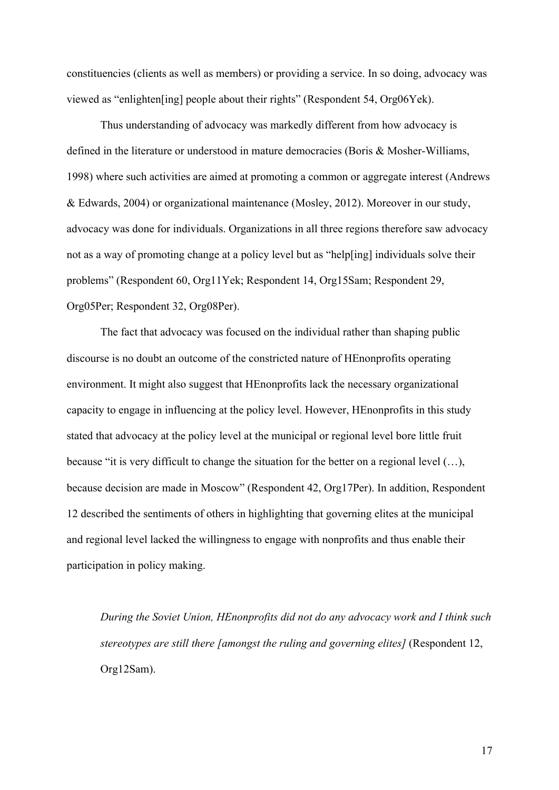constituencies (clients as well as members) or providing a service. In so doing, advocacy was viewed as "enlighten[ing] people about their rights" (Respondent 54, Org06Yek).

Thus understanding of advocacy was markedly different from how advocacy is defined in the literature or understood in mature democracies (Boris & Mosher-Williams, 1998) where such activities are aimed at promoting a common or aggregate interest (Andrews & Edwards, 2004) or organizational maintenance (Mosley, 2012). Moreover in our study, advocacy was done for individuals. Organizations in all three regions therefore saw advocacy not as a way of promoting change at a policy level but as "help[ing] individuals solve their problems" (Respondent 60, Org11Yek; Respondent 14, Org15Sam; Respondent 29, Org05Per; Respondent 32, Org08Per).

The fact that advocacy was focused on the individual rather than shaping public discourse is no doubt an outcome of the constricted nature of HEnonprofits operating environment. It might also suggest that HEnonprofits lack the necessary organizational capacity to engage in influencing at the policy level. However, HEnonprofits in this study stated that advocacy at the policy level at the municipal or regional level bore little fruit because "it is very difficult to change the situation for the better on a regional level (…), because decision are made in Moscow" (Respondent 42, Org17Per). In addition, Respondent 12 described the sentiments of others in highlighting that governing elites at the municipal and regional level lacked the willingness to engage with nonprofits and thus enable their participation in policy making.

*During the Soviet Union, HEnonprofits did not do any advocacy work and I think such stereotypes are still there [amongst the ruling and governing elites]* (Respondent 12, Org12Sam).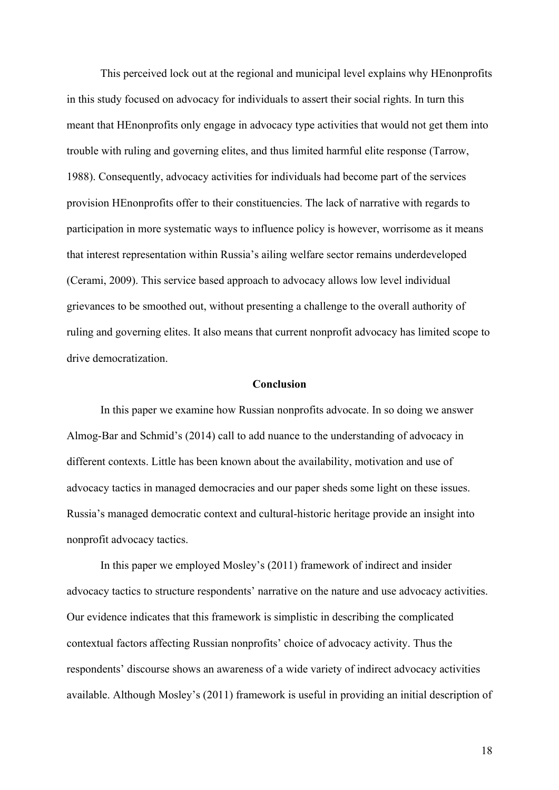This perceived lock out at the regional and municipal level explains why HEnonprofits in this study focused on advocacy for individuals to assert their social rights. In turn this meant that HEnonprofits only engage in advocacy type activities that would not get them into trouble with ruling and governing elites, and thus limited harmful elite response (Tarrow, 1988). Consequently, advocacy activities for individuals had become part of the services provision HEnonprofits offer to their constituencies. The lack of narrative with regards to participation in more systematic ways to influence policy is however, worrisome as it means that interest representation within Russia's ailing welfare sector remains underdeveloped (Cerami, 2009). This service based approach to advocacy allows low level individual grievances to be smoothed out, without presenting a challenge to the overall authority of ruling and governing elites. It also means that current nonprofit advocacy has limited scope to drive democratization.

#### **Conclusion**

In this paper we examine how Russian nonprofits advocate. In so doing we answer Almog-Bar and Schmid's (2014) call to add nuance to the understanding of advocacy in different contexts. Little has been known about the availability, motivation and use of advocacy tactics in managed democracies and our paper sheds some light on these issues. Russia's managed democratic context and cultural-historic heritage provide an insight into nonprofit advocacy tactics.

In this paper we employed Mosley's (2011) framework of indirect and insider advocacy tactics to structure respondents' narrative on the nature and use advocacy activities. Our evidence indicates that this framework is simplistic in describing the complicated contextual factors affecting Russian nonprofits' choice of advocacy activity. Thus the respondents' discourse shows an awareness of a wide variety of indirect advocacy activities available. Although Mosley's (2011) framework is useful in providing an initial description of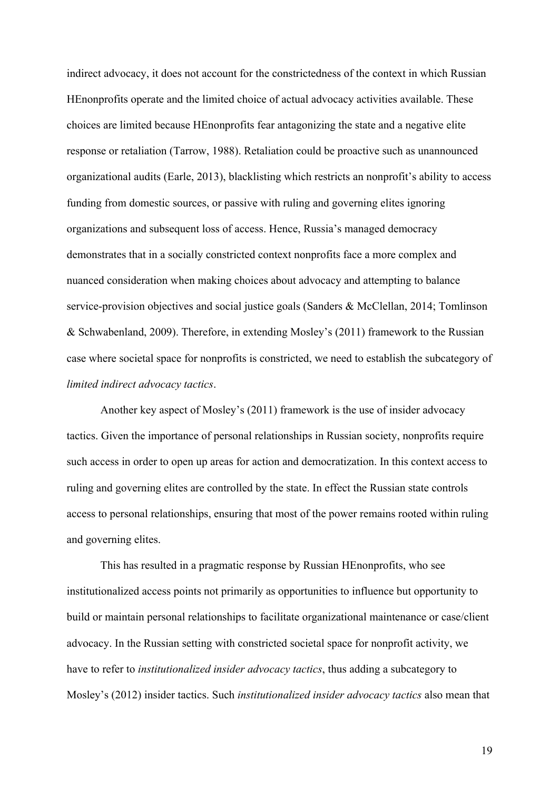indirect advocacy, it does not account for the constrictedness of the context in which Russian HEnonprofits operate and the limited choice of actual advocacy activities available. These choices are limited because HEnonprofits fear antagonizing the state and a negative elite response or retaliation (Tarrow, 1988). Retaliation could be proactive such as unannounced organizational audits (Earle, 2013), blacklisting which restricts an nonprofit's ability to access funding from domestic sources, or passive with ruling and governing elites ignoring organizations and subsequent loss of access. Hence, Russia's managed democracy demonstrates that in a socially constricted context nonprofits face a more complex and nuanced consideration when making choices about advocacy and attempting to balance service-provision objectives and social justice goals (Sanders & McClellan, 2014; Tomlinson & Schwabenland, 2009). Therefore, in extending Mosley's (2011) framework to the Russian case where societal space for nonprofits is constricted, we need to establish the subcategory of *limited indirect advocacy tactics*.

Another key aspect of Mosley's (2011) framework is the use of insider advocacy tactics. Given the importance of personal relationships in Russian society, nonprofits require such access in order to open up areas for action and democratization. In this context access to ruling and governing elites are controlled by the state. In effect the Russian state controls access to personal relationships, ensuring that most of the power remains rooted within ruling and governing elites.

This has resulted in a pragmatic response by Russian HEnonprofits, who see institutionalized access points not primarily as opportunities to influence but opportunity to build or maintain personal relationships to facilitate organizational maintenance or case/client advocacy. In the Russian setting with constricted societal space for nonprofit activity, we have to refer to *institutionalized insider advocacy tactics*, thus adding a subcategory to Mosley's (2012) insider tactics. Such *institutionalized insider advocacy tactics* also mean that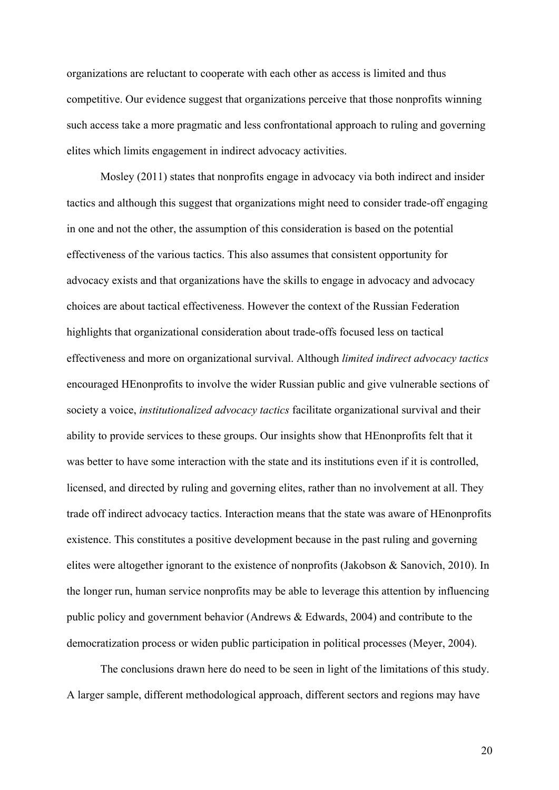organizations are reluctant to cooperate with each other as access is limited and thus competitive. Our evidence suggest that organizations perceive that those nonprofits winning such access take a more pragmatic and less confrontational approach to ruling and governing elites which limits engagement in indirect advocacy activities.

Mosley (2011) states that nonprofits engage in advocacy via both indirect and insider tactics and although this suggest that organizations might need to consider trade-off engaging in one and not the other, the assumption of this consideration is based on the potential effectiveness of the various tactics. This also assumes that consistent opportunity for advocacy exists and that organizations have the skills to engage in advocacy and advocacy choices are about tactical effectiveness. However the context of the Russian Federation highlights that organizational consideration about trade-offs focused less on tactical effectiveness and more on organizational survival. Although *limited indirect advocacy tactics* encouraged HEnonprofits to involve the wider Russian public and give vulnerable sections of society a voice, *institutionalized advocacy tactics* facilitate organizational survival and their ability to provide services to these groups. Our insights show that HEnonprofits felt that it was better to have some interaction with the state and its institutions even if it is controlled, licensed, and directed by ruling and governing elites, rather than no involvement at all. They trade off indirect advocacy tactics. Interaction means that the state was aware of HEnonprofits existence. This constitutes a positive development because in the past ruling and governing elites were altogether ignorant to the existence of nonprofits (Jakobson & Sanovich, 2010). In the longer run, human service nonprofits may be able to leverage this attention by influencing public policy and government behavior (Andrews & Edwards, 2004) and contribute to the democratization process or widen public participation in political processes (Meyer, 2004).

The conclusions drawn here do need to be seen in light of the limitations of this study. A larger sample, different methodological approach, different sectors and regions may have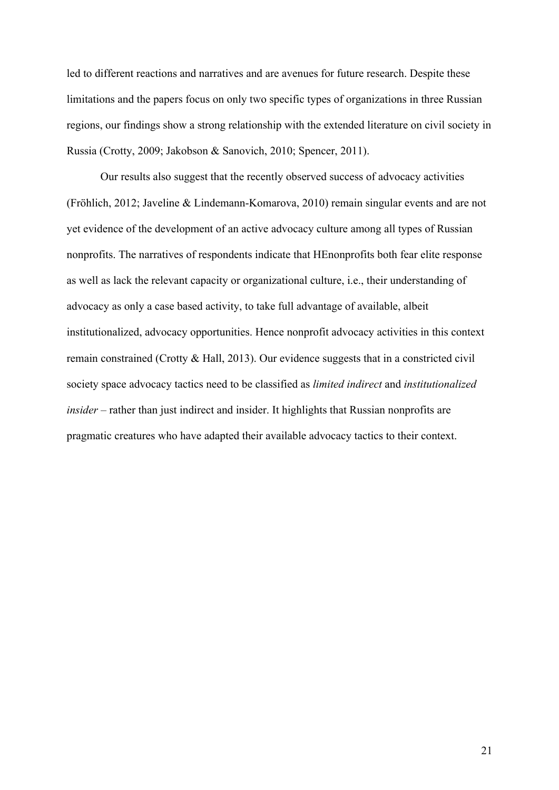led to different reactions and narratives and are avenues for future research. Despite these limitations and the papers focus on only two specific types of organizations in three Russian regions, our findings show a strong relationship with the extended literature on civil society in Russia (Crotty, 2009; Jakobson & Sanovich, 2010; Spencer, 2011).

Our results also suggest that the recently observed success of advocacy activities (Fröhlich, 2012; Javeline & Lindemann-Komarova, 2010) remain singular events and are not yet evidence of the development of an active advocacy culture among all types of Russian nonprofits. The narratives of respondents indicate that HEnonprofits both fear elite response as well as lack the relevant capacity or organizational culture, i.e., their understanding of advocacy as only a case based activity, to take full advantage of available, albeit institutionalized, advocacy opportunities. Hence nonprofit advocacy activities in this context remain constrained (Crotty & Hall, 2013). Our evidence suggests that in a constricted civil society space advocacy tactics need to be classified as *limited indirect* and *institutionalized insider* – rather than just indirect and insider. It highlights that Russian nonprofits are pragmatic creatures who have adapted their available advocacy tactics to their context.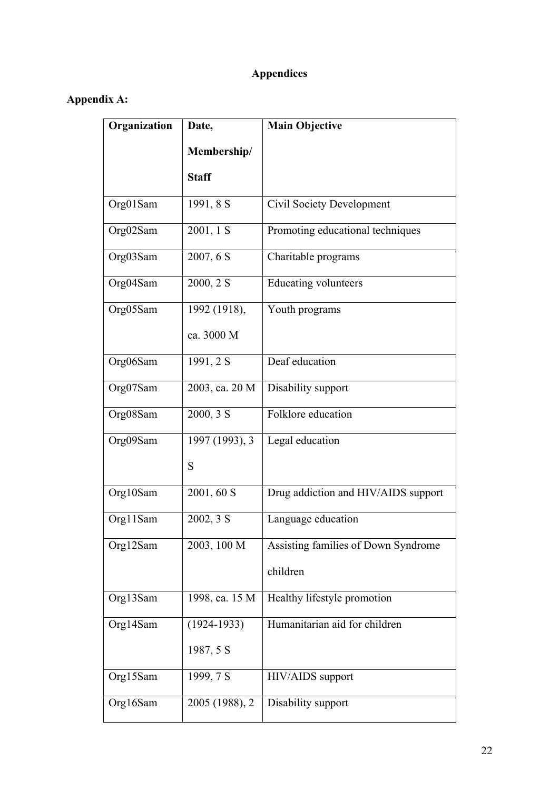# **Appendices**

## **Appendix A:**

| Organization | Date,           | <b>Main Objective</b>               |
|--------------|-----------------|-------------------------------------|
|              | Membership/     |                                     |
|              | <b>Staff</b>    |                                     |
| Org01Sam     | 1991, 8 S       | <b>Civil Society Development</b>    |
| Org02Sam     | 2001, 1 S       | Promoting educational techniques    |
| Org03Sam     | 2007, 6 S       | Charitable programs                 |
| Org04Sam     | 2000, 2 S       | <b>Educating volunteers</b>         |
| Org05Sam     | 1992 (1918),    | Youth programs                      |
|              | ca. 3000 M      |                                     |
| Org06Sam     | 1991, 2 S       | Deaf education                      |
| Org07Sam     | 2003, ca. 20 M  | Disability support                  |
| Org08Sam     | 2000, 3 S       | Folklore education                  |
| Org09Sam     | 1997 (1993), 3  | Legal education                     |
|              | S               |                                     |
| Org10Sam     | 2001, 60 S      | Drug addiction and HIV/AIDS support |
| Org11Sam     | 2002, 3 S       | Language education                  |
| Org12Sam     | 2003, 100 M     | Assisting families of Down Syndrome |
|              |                 | children                            |
| Org13Sam     | 1998, ca. 15 M  | Healthy lifestyle promotion         |
| Org14Sam     | $(1924 - 1933)$ | Humanitarian aid for children       |
|              | 1987, 5 S       |                                     |
| Org15Sam     | 1999, 7 S       | HIV/AIDS support                    |
| Org16Sam     | 2005 (1988), 2  | Disability support                  |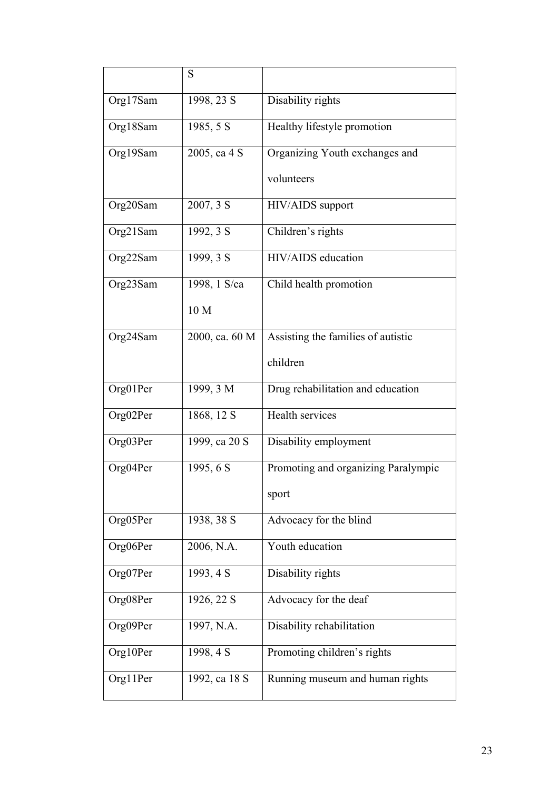|          | S              |                                     |
|----------|----------------|-------------------------------------|
| Org17Sam | 1998, 23 S     | Disability rights                   |
| Org18Sam | 1985, 5 S      | Healthy lifestyle promotion         |
| Org19Sam | 2005, ca 4 S   | Organizing Youth exchanges and      |
|          |                | volunteers                          |
| Org20Sam | 2007, 3 S      | HIV/AIDS support                    |
| Org21Sam | 1992, 3 S      | Children's rights                   |
| Org22Sam | 1999, 3 S      | HIV/AIDS education                  |
| Org23Sam | 1998, 1 S/ca   | Child health promotion              |
|          | 10 M           |                                     |
| Org24Sam | 2000, ca. 60 M | Assisting the families of autistic  |
|          |                | children                            |
| Org01Per | 1999, 3 M      | Drug rehabilitation and education   |
| Org02Per | 1868, 12 S     | Health services                     |
| Org03Per | 1999, ca 20 S  | Disability employment               |
| Org04Per | 1995, 6 S      | Promoting and organizing Paralympic |
|          |                | sport                               |
| Org05Per | 1938, 38 S     | Advocacy for the blind              |
| Org06Per | 2006, N.A.     | Youth education                     |
| Org07Per | 1993, 4 S      | Disability rights                   |
| Org08Per | 1926, 22 S     | Advocacy for the deaf               |
| Org09Per | 1997, N.A.     | Disability rehabilitation           |
| Org10Per | 1998, 4 S      | Promoting children's rights         |
| Org11Per | 1992, ca 18 S  | Running museum and human rights     |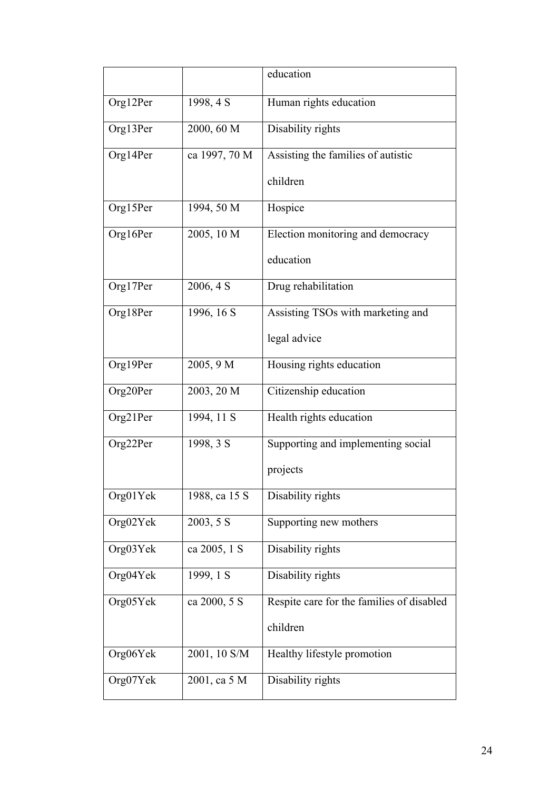|          |               | education                                 |
|----------|---------------|-------------------------------------------|
| Org12Per | 1998, 4 S     | Human rights education                    |
| Org13Per | 2000, 60 M    | Disability rights                         |
| Org14Per | ca 1997, 70 M | Assisting the families of autistic        |
|          |               | children                                  |
| Org15Per | 1994, 50 M    | Hospice                                   |
| Org16Per | 2005, 10 M    | Election monitoring and democracy         |
|          |               | education                                 |
| Org17Per | 2006, 4 S     | Drug rehabilitation                       |
| Org18Per | 1996, 16 S    | Assisting TSOs with marketing and         |
|          |               | legal advice                              |
| Org19Per | 2005, 9 M     | Housing rights education                  |
| Org20Per | 2003, 20 M    | Citizenship education                     |
| Org21Per | 1994, 11 S    | Health rights education                   |
| Org22Per | 1998, 3 S     | Supporting and implementing social        |
|          |               | projects                                  |
| Org01Yek | 1988, ca 15 S | Disability rights                         |
| Org02Yek | 2003, 5 S     | Supporting new mothers                    |
| Org03Yek | ca 2005, 1 S  | Disability rights                         |
| Org04Yek | 1999, 1 S     | Disability rights                         |
| Org05Yek | ca 2000, 5 S  | Respite care for the families of disabled |
|          |               | children                                  |
| Org06Yek | 2001, 10 S/M  | Healthy lifestyle promotion               |
| Org07Yek | 2001, ca 5 M  | Disability rights                         |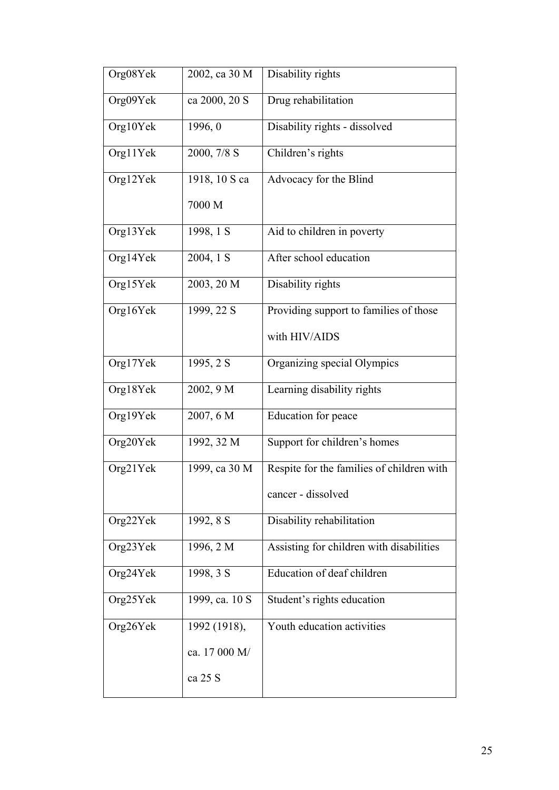| Org08Yek | 2002, ca 30 M  | Disability rights                         |
|----------|----------------|-------------------------------------------|
| Org09Yek | ca 2000, 20 S  | Drug rehabilitation                       |
| Org10Yek | 1996, 0        | Disability rights - dissolved             |
| Org11Yek | 2000, 7/8 S    | Children's rights                         |
| Org12Yek | 1918, 10 S ca  | Advocacy for the Blind                    |
|          | 7000 M         |                                           |
| Org13Yek | 1998, 1 S      | Aid to children in poverty                |
| Org14Yek | 2004, 1 S      | After school education                    |
| Org15Yek | 2003, 20 M     | Disability rights                         |
| Org16Yek | 1999, 22 S     | Providing support to families of those    |
|          |                | with HIV/AIDS                             |
| Org17Yek | 1995, 2 S      | Organizing special Olympics               |
| Org18Yek | 2002, 9 M      | Learning disability rights                |
| Org19Yek | 2007, 6 M      | Education for peace                       |
| Org20Yek | 1992, 32 M     | Support for children's homes              |
| Org21Yek | 1999, ca 30 M  | Respite for the families of children with |
|          |                | cancer - dissolved                        |
| Org22Yek | 1992, 8 S      | Disability rehabilitation                 |
| Org23Yek | 1996, 2 M      | Assisting for children with disabilities  |
| Org24Yek | 1998, 3 S      | Education of deaf children                |
| Org25Yek | 1999, ca. 10 S | Student's rights education                |
| Org26Yek | 1992 (1918),   | Youth education activities                |
|          | ca. 17 000 M/  |                                           |
|          | ca 25 S        |                                           |
|          |                |                                           |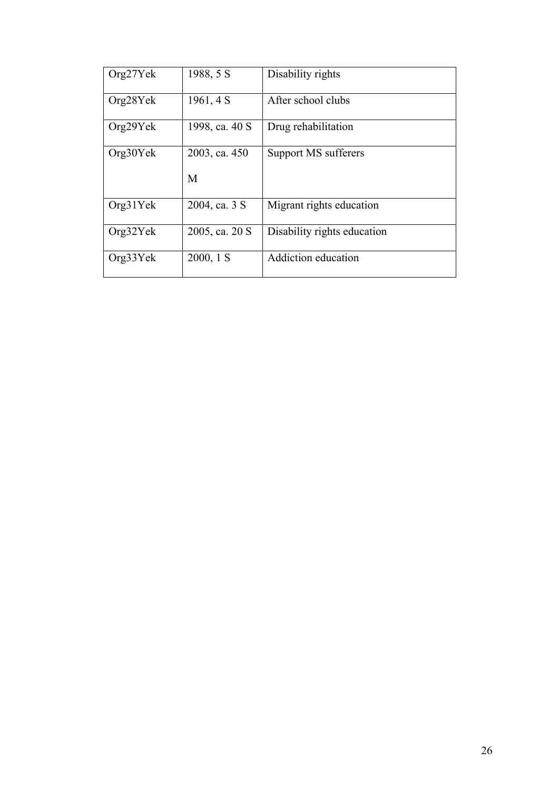| Org27Yek | 1988, 5 S      | Disability rights           |
|----------|----------------|-----------------------------|
| Org28Yek | 1961, 4 S      | After school clubs          |
| Org29Yek | 1998, ca. 40 S | Drug rehabilitation         |
| Org30Yek | 2003, ca. 450  | Support MS sufferers        |
|          | M              |                             |
| Org31Yek | 2004, ca. 3 S  | Migrant rights education    |
| Org32Yek | 2005, ca. 20 S | Disability rights education |
| Org33Yek | $2000, 1$ S    | Addiction education         |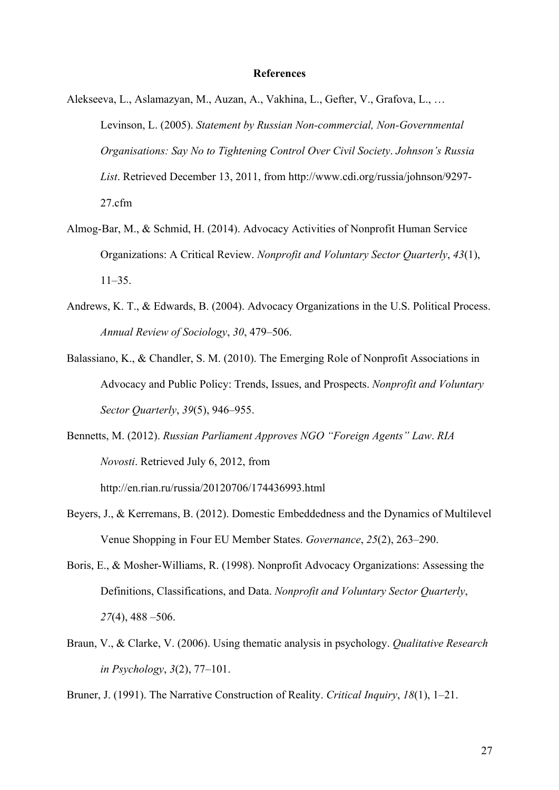#### **References**

- Alekseeva, L., Aslamazyan, M., Auzan, A., Vakhina, L., Gefter, V., Grafova, L., … Levinson, L. (2005). *Statement by Russian Non-commercial, Non-Governmental Organisations: Say No to Tightening Control Over Civil Society*. *Johnson's Russia List*. Retrieved December 13, 2011, from http://www.cdi.org/russia/johnson/9297- 27.cfm
- Almog-Bar, M., & Schmid, H. (2014). Advocacy Activities of Nonprofit Human Service Organizations: A Critical Review. *Nonprofit and Voluntary Sector Quarterly*, *43*(1), 11–35.
- Andrews, K. T., & Edwards, B. (2004). Advocacy Organizations in the U.S. Political Process. *Annual Review of Sociology*, *30*, 479–506.
- Balassiano, K., & Chandler, S. M. (2010). The Emerging Role of Nonprofit Associations in Advocacy and Public Policy: Trends, Issues, and Prospects. *Nonprofit and Voluntary Sector Quarterly*, *39*(5), 946–955.
- Bennetts, M. (2012). *Russian Parliament Approves NGO "Foreign Agents" Law*. *RIA Novosti*. Retrieved July 6, 2012, from http://en.rian.ru/russia/20120706/174436993.html
- Beyers, J., & Kerremans, B. (2012). Domestic Embeddedness and the Dynamics of Multilevel Venue Shopping in Four EU Member States. *Governance*, *25*(2), 263–290.
- Boris, E., & Mosher-Williams, R. (1998). Nonprofit Advocacy Organizations: Assessing the Definitions, Classifications, and Data. *Nonprofit and Voluntary Sector Quarterly*, *27*(4), 488 –506.
- Braun, V., & Clarke, V. (2006). Using thematic analysis in psychology. *Qualitative Research in Psychology*, *3*(2), 77–101.
- Bruner, J. (1991). The Narrative Construction of Reality. *Critical Inquiry*, *18*(1), 1–21.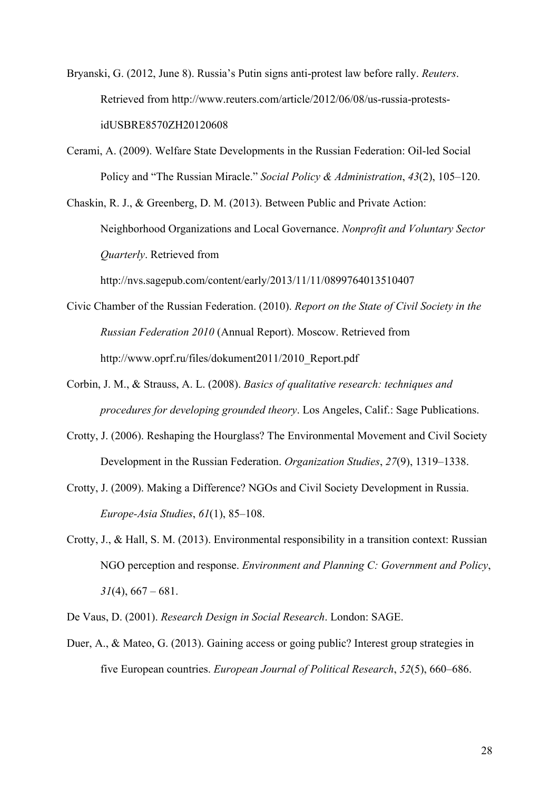- Bryanski, G. (2012, June 8). Russia's Putin signs anti-protest law before rally. *Reuters*. Retrieved from http://www.reuters.com/article/2012/06/08/us-russia-protestsidUSBRE8570ZH20120608
- Cerami, A. (2009). Welfare State Developments in the Russian Federation: Oil-led Social Policy and "The Russian Miracle." *Social Policy & Administration*, *43*(2), 105–120.

Chaskin, R. J., & Greenberg, D. M. (2013). Between Public and Private Action: Neighborhood Organizations and Local Governance. *Nonprofit and Voluntary Sector Quarterly*. Retrieved from http://nvs.sagepub.com/content/early/2013/11/11/0899764013510407

- Civic Chamber of the Russian Federation. (2010). *Report on the State of Civil Society in the Russian Federation 2010* (Annual Report). Moscow. Retrieved from http://www.oprf.ru/files/dokument2011/2010\_Report.pdf
- Corbin, J. M., & Strauss, A. L. (2008). *Basics of qualitative research: techniques and procedures for developing grounded theory*. Los Angeles, Calif.: Sage Publications.
- Crotty, J. (2006). Reshaping the Hourglass? The Environmental Movement and Civil Society Development in the Russian Federation. *Organization Studies*, *27*(9), 1319–1338.
- Crotty, J. (2009). Making a Difference? NGOs and Civil Society Development in Russia. *Europe-Asia Studies*, *61*(1), 85–108.
- Crotty, J., & Hall, S. M. (2013). Environmental responsibility in a transition context: Russian NGO perception and response. *Environment and Planning C: Government and Policy*,  $31(4)$ ,  $667 - 681$ .
- De Vaus, D. (2001). *Research Design in Social Research*. London: SAGE.
- Duer, A., & Mateo, G. (2013). Gaining access or going public? Interest group strategies in five European countries. *European Journal of Political Research*, *52*(5), 660–686.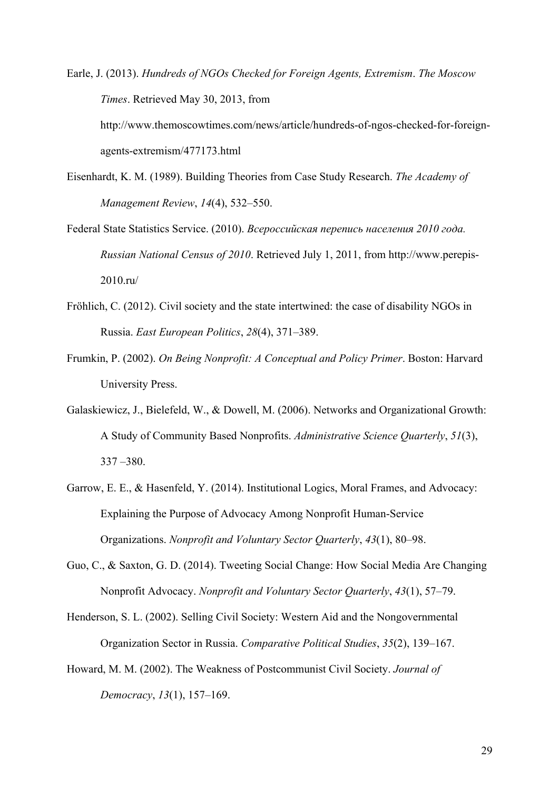Earle, J. (2013). *Hundreds of NGOs Checked for Foreign Agents, Extremism*. *The Moscow Times*. Retrieved May 30, 2013, from http://www.themoscowtimes.com/news/article/hundreds-of-ngos-checked-for-foreignagents-extremism/477173.html

- Eisenhardt, K. M. (1989). Building Theories from Case Study Research. *The Academy of Management Review*, *14*(4), 532–550.
- Federal State Statistics Service. (2010). *Всероссийская перепись населения 2010 года. Russian National Census of 2010*. Retrieved July 1, 2011, from http://www.perepis-2010.ru/
- Fröhlich, C. (2012). Civil society and the state intertwined: the case of disability NGOs in Russia. *East European Politics*, *28*(4), 371–389.
- Frumkin, P. (2002). *On Being Nonprofit: A Conceptual and Policy Primer*. Boston: Harvard University Press.
- Galaskiewicz, J., Bielefeld, W., & Dowell, M. (2006). Networks and Organizational Growth: A Study of Community Based Nonprofits. *Administrative Science Quarterly*, *51*(3), 337 –380.
- Garrow, E. E., & Hasenfeld, Y. (2014). Institutional Logics, Moral Frames, and Advocacy: Explaining the Purpose of Advocacy Among Nonprofit Human-Service Organizations. *Nonprofit and Voluntary Sector Quarterly*, *43*(1), 80–98.
- Guo, C., & Saxton, G. D. (2014). Tweeting Social Change: How Social Media Are Changing Nonprofit Advocacy. *Nonprofit and Voluntary Sector Quarterly*, *43*(1), 57–79.

Henderson, S. L. (2002). Selling Civil Society: Western Aid and the Nongovernmental Organization Sector in Russia. *Comparative Political Studies*, *35*(2), 139–167.

Howard, M. M. (2002). The Weakness of Postcommunist Civil Society. *Journal of Democracy*, *13*(1), 157–169.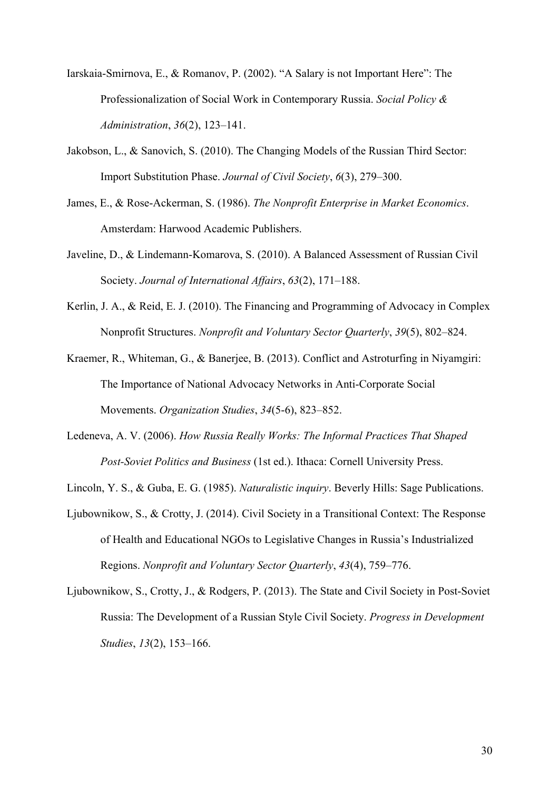- Iarskaia-Smirnova, E., & Romanov, P. (2002). "A Salary is not Important Here": The Professionalization of Social Work in Contemporary Russia. *Social Policy & Administration*, *36*(2), 123–141.
- Jakobson, L., & Sanovich, S. (2010). The Changing Models of the Russian Third Sector: Import Substitution Phase. *Journal of Civil Society*, *6*(3), 279–300.
- James, E., & Rose-Ackerman, S. (1986). *The Nonprofit Enterprise in Market Economics*. Amsterdam: Harwood Academic Publishers.
- Javeline, D., & Lindemann-Komarova, S. (2010). A Balanced Assessment of Russian Civil Society. *Journal of International Affairs*, *63*(2), 171–188.
- Kerlin, J. A., & Reid, E. J. (2010). The Financing and Programming of Advocacy in Complex Nonprofit Structures. *Nonprofit and Voluntary Sector Quarterly*, *39*(5), 802–824.
- Kraemer, R., Whiteman, G., & Banerjee, B. (2013). Conflict and Astroturfing in Niyamgiri: The Importance of National Advocacy Networks in Anti-Corporate Social Movements. *Organization Studies*, *34*(5-6), 823–852.
- Ledeneva, A. V. (2006). *How Russia Really Works: The Informal Practices That Shaped Post-Soviet Politics and Business* (1st ed.). Ithaca: Cornell University Press.
- Lincoln, Y. S., & Guba, E. G. (1985). *Naturalistic inquiry*. Beverly Hills: Sage Publications.
- Ljubownikow, S., & Crotty, J. (2014). Civil Society in a Transitional Context: The Response of Health and Educational NGOs to Legislative Changes in Russia's Industrialized Regions. *Nonprofit and Voluntary Sector Quarterly*, *43*(4), 759–776.
- Ljubownikow, S., Crotty, J., & Rodgers, P. (2013). The State and Civil Society in Post-Soviet Russia: The Development of a Russian Style Civil Society. *Progress in Development Studies*, *13*(2), 153–166.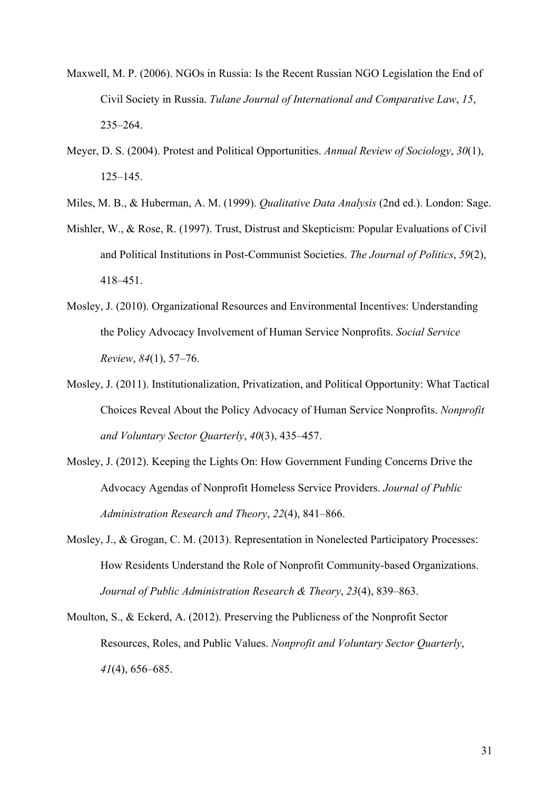- Maxwell, M. P. (2006). NGOs in Russia: Is the Recent Russian NGO Legislation the End of Civil Society in Russia. *Tulane Journal of International and Comparative Law*, *15*, 235–264.
- Meyer, D. S. (2004). Protest and Political Opportunities. *Annual Review of Sociology*, *30*(1), 125–145.
- Miles, M. B., & Huberman, A. M. (1999). *Qualitative Data Analysis* (2nd ed.). London: Sage.
- Mishler, W., & Rose, R. (1997). Trust, Distrust and Skepticism: Popular Evaluations of Civil and Political Institutions in Post-Communist Societies. *The Journal of Politics*, *59*(2), 418–451.
- Mosley, J. (2010). Organizational Resources and Environmental Incentives: Understanding the Policy Advocacy Involvement of Human Service Nonprofits. *Social Service Review*, *84*(1), 57–76.
- Mosley, J. (2011). Institutionalization, Privatization, and Political Opportunity: What Tactical Choices Reveal About the Policy Advocacy of Human Service Nonprofits. *Nonprofit and Voluntary Sector Quarterly*, *40*(3), 435–457.
- Mosley, J. (2012). Keeping the Lights On: How Government Funding Concerns Drive the Advocacy Agendas of Nonprofit Homeless Service Providers. *Journal of Public Administration Research and Theory*, *22*(4), 841–866.
- Mosley, J., & Grogan, C. M. (2013). Representation in Nonelected Participatory Processes: How Residents Understand the Role of Nonprofit Community-based Organizations. *Journal of Public Administration Research & Theory*, *23*(4), 839–863.
- Moulton, S., & Eckerd, A. (2012). Preserving the Publicness of the Nonprofit Sector Resources, Roles, and Public Values. *Nonprofit and Voluntary Sector Quarterly*, *41*(4), 656–685.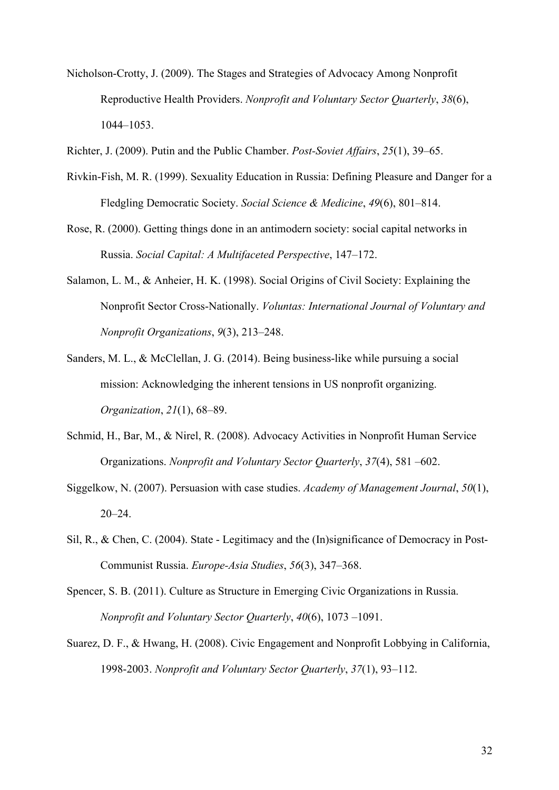Nicholson-Crotty, J. (2009). The Stages and Strategies of Advocacy Among Nonprofit Reproductive Health Providers. *Nonprofit and Voluntary Sector Quarterly*, *38*(6), 1044–1053.

Richter, J. (2009). Putin and the Public Chamber. *Post-Soviet Affairs*, *25*(1), 39–65.

- Rivkin-Fish, M. R. (1999). Sexuality Education in Russia: Defining Pleasure and Danger for a Fledgling Democratic Society. *Social Science & Medicine*, *49*(6), 801–814.
- Rose, R. (2000). Getting things done in an antimodern society: social capital networks in Russia. *Social Capital: A Multifaceted Perspective*, 147–172.
- Salamon, L. M., & Anheier, H. K. (1998). Social Origins of Civil Society: Explaining the Nonprofit Sector Cross-Nationally. *Voluntas: International Journal of Voluntary and Nonprofit Organizations*, *9*(3), 213–248.
- Sanders, M. L., & McClellan, J. G. (2014). Being business-like while pursuing a social mission: Acknowledging the inherent tensions in US nonprofit organizing. *Organization*, *21*(1), 68–89.
- Schmid, H., Bar, M., & Nirel, R. (2008). Advocacy Activities in Nonprofit Human Service Organizations. *Nonprofit and Voluntary Sector Quarterly*, *37*(4), 581 –602.
- Siggelkow, N. (2007). Persuasion with case studies. *Academy of Management Journal*, *50*(1),  $20 - 24$ .
- Sil, R., & Chen, C. (2004). State Legitimacy and the (In)significance of Democracy in Post-Communist Russia. *Europe-Asia Studies*, *56*(3), 347–368.
- Spencer, S. B. (2011). Culture as Structure in Emerging Civic Organizations in Russia. *Nonprofit and Voluntary Sector Quarterly*, *40*(6), 1073 –1091.
- Suarez, D. F., & Hwang, H. (2008). Civic Engagement and Nonprofit Lobbying in California, 1998-2003. *Nonprofit and Voluntary Sector Quarterly*, *37*(1), 93–112.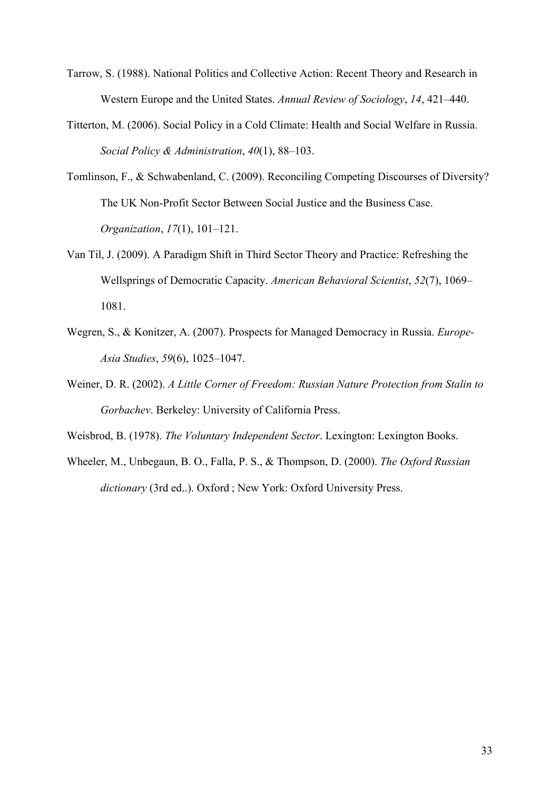- Tarrow, S. (1988). National Politics and Collective Action: Recent Theory and Research in Western Europe and the United States. *Annual Review of Sociology*, *14*, 421–440.
- Titterton, M. (2006). Social Policy in a Cold Climate: Health and Social Welfare in Russia. *Social Policy & Administration*, *40*(1), 88–103.
- Tomlinson, F., & Schwabenland, C. (2009). Reconciling Competing Discourses of Diversity? The UK Non-Profit Sector Between Social Justice and the Business Case. *Organization*, *17*(1), 101–121.
- Van Til, J. (2009). A Paradigm Shift in Third Sector Theory and Practice: Refreshing the Wellsprings of Democratic Capacity. *American Behavioral Scientist*, *52*(7), 1069– 1081.
- Wegren, S., & Konitzer, A. (2007). Prospects for Managed Democracy in Russia. *Europe-Asia Studies*, *59*(6), 1025–1047.
- Weiner, D. R. (2002). *A Little Corner of Freedom: Russian Nature Protection from Stalin to Gorbachev*. Berkeley: University of California Press.

Weisbrod, B. (1978). *The Voluntary Independent Sector*. Lexington: Lexington Books.

Wheeler, M., Unbegaun, B. O., Falla, P. S., & Thompson, D. (2000). *The Oxford Russian dictionary* (3rd ed..). Oxford ; New York: Oxford University Press.